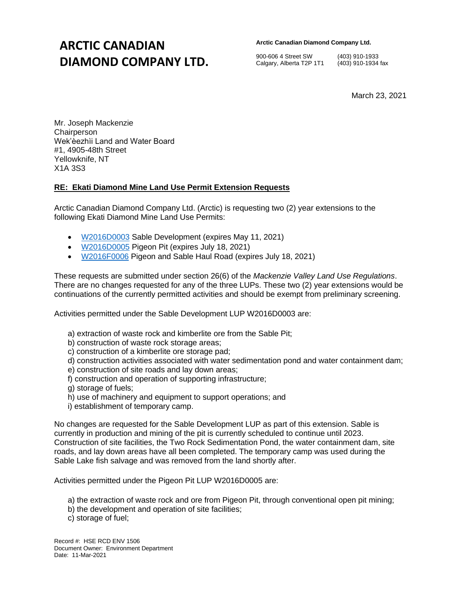## **ARCTIC CANADIAN DIAMOND COMPANY LTD.**

**Arctic Canadian Diamond Company Ltd.** 

900-606 4 Street SW (403) 910-1933 Calgary, Alberta T2P 1T1 (403) 910-1934 fax

March 23, 2021

Mr. Joseph Mackenzie **Chairperson** Wek'èezhìi Land and Water Board #1, 4905-48th Street Yellowknife, NT X1A 3S3

## **RE: Ekati Diamond Mine Land Use Permit Extension Requests**

Arctic Canadian Diamond Company Ltd. (Arctic) is requesting two (2) year extensions to the following Ekati Diamond Mine Land Use Permits:

- [W2016D0003](http://registry.mvlwb.ca/Documents/W2016D0003/Ekati%20-%20Sable%20Development%20-%20Land%20Use%20Permit%20-%20Feb%204_21.pdf) Sable Development (expires May 11, 2021)
- [W2016D0005](http://registry.mvlwb.ca/Documents/W2016D0005/W2016D0005%20-%20Ekati%20-%20Pigeon%20Pit%20-%20Land%20Use%20Permit%20-%20Feb%204_21.pdf) Pigeon Pit (expires July 18, 2021)
- [W2016F0006](http://registry.mvlwb.ca/Documents/W2016F0006/W2016F0006%20-%20Ekati%20-%20Pigeon%20and%20Sable%20Haul%20Road%20-%20Land%20Use%20Permit%20-%20Feb%204_21.pdf) Pigeon and Sable Haul Road (expires July 18, 2021)

These requests are submitted under section 26(6) of the *Mackenzie Valley Land Use Regulations*. There are no changes requested for any of the three LUPs. These two (2) year extensions would be continuations of the currently permitted activities and should be exempt from preliminary screening.

Activities permitted under the Sable Development LUP W2016D0003 are:

- a) extraction of waste rock and kimberlite ore from the Sable Pit;
- b) construction of waste rock storage areas;
- c) construction of a kimberlite ore storage pad;
- d) construction activities associated with water sedimentation pond and water containment dam;
- e) construction of site roads and lay down areas;
- f) construction and operation of supporting infrastructure;
- g) storage of fuels;
- h) use of machinery and equipment to support operations; and
- i) establishment of temporary camp.

No changes are requested for the Sable Development LUP as part of this extension. Sable is currently in production and mining of the pit is currently scheduled to continue until 2023. Construction of site facilities, the Two Rock Sedimentation Pond, the water containment dam, site roads, and lay down areas have all been completed. The temporary camp was used during the Sable Lake fish salvage and was removed from the land shortly after.

Activities permitted under the Pigeon Pit LUP W2016D0005 are:

- a) the extraction of waste rock and ore from Pigeon Pit, through conventional open pit mining;
- b) the development and operation of site facilities;
- c) storage of fuel;